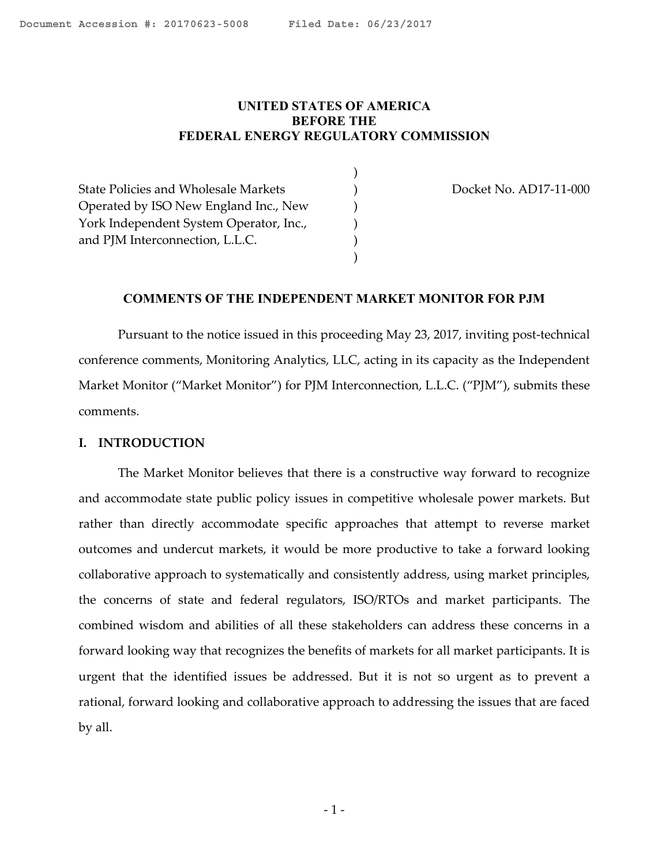# <span id="page-0-0"></span>**UNITED STATES OF AMERICA BEFORE THE FEDERAL ENERGY REGULATORY COMMISSION**

) ) ) ) ) )

State Policies and Wholesale Markets Operated by ISO New England Inc., New York Independent System Operator, Inc., and PJM Interconnection, L.L.C.

Docket No. AD17-11-000

## **COMMENTS OF THE INDEPENDENT MARKET MONITOR FOR PJM**

Pursuant to the notice issued in this proceeding May 23, 2017, inviting post-technical conference comments, Monitoring Analytics, LLC, acting in its capacity as the Independent Market Monitor ("Market Monitor") for PJM Interconnection, L.L.C. ("PJM"), submits these comments.

#### **I. INTRODUCTION**

The Market Monitor believes that there is a constructive way forward to recognize and accommodate state public policy issues in competitive wholesale power markets. But rather than directly accommodate specific approaches that attempt to reverse market outcomes and undercut markets, it would be more productive to take a forward looking collaborative approach to systematically and consistently address, using market principles, the concerns of state and federal regulators, ISO/RTOs and market participants. The combined wisdom and abilities of all these stakeholders can address these concerns in a forward looking way that recognizes the benefits of markets for all market participants. It is urgent that the identified issues be addressed. But it is not so urgent as to prevent a rational, forward looking and collaborative approach to addressing the issues that are faced by all.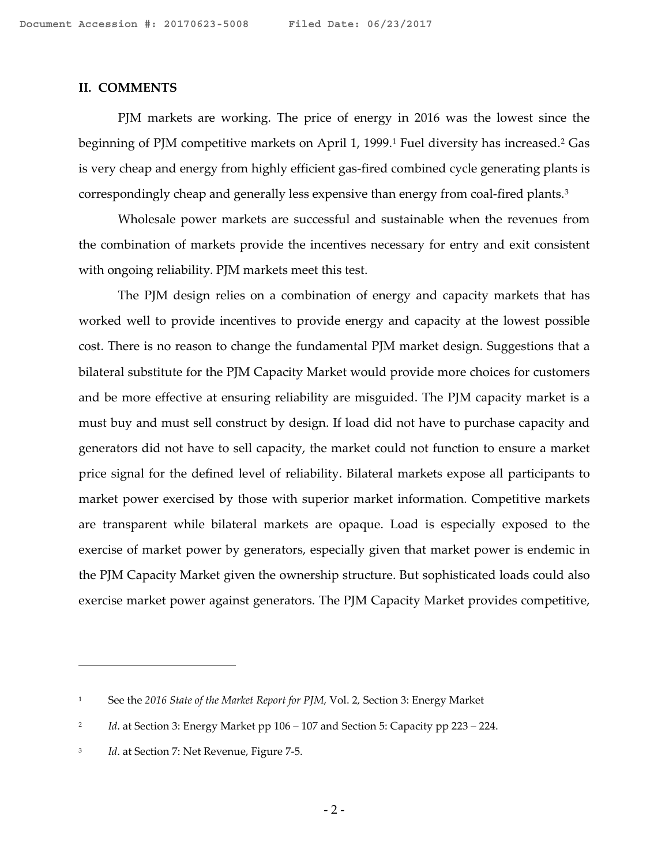#### **II. COMMENTS**

PJM markets are working. The price of energy in 2016 was the lowest since the beginning of PJM competitive markets on April [1](#page-1-0), 1999.<sup>1</sup> Fuel diversity has increased.<sup>[2](#page-1-1)</sup> Gas is very cheap and energy from highly efficient gas-fired combined cycle generating plants is correspondingly cheap and generally less expensive than energy from coal-fired plants.[3](#page-1-2)

Wholesale power markets are successful and sustainable when the revenues from the combination of markets provide the incentives necessary for entry and exit consistent with ongoing reliability. PJM markets meet this test.

The PJM design relies on a combination of energy and capacity markets that has worked well to provide incentives to provide energy and capacity at the lowest possible cost. There is no reason to change the fundamental PJM market design. Suggestions that a bilateral substitute for the PJM Capacity Market would provide more choices for customers and be more effective at ensuring reliability are misguided. The PJM capacity market is a must buy and must sell construct by design. If load did not have to purchase capacity and generators did not have to sell capacity, the market could not function to ensure a market price signal for the defined level of reliability. Bilateral markets expose all participants to market power exercised by those with superior market information. Competitive markets are transparent while bilateral markets are opaque. Load is especially exposed to the exercise of market power by generators, especially given that market power is endemic in the PJM Capacity Market given the ownership structure. But sophisticated loads could also exercise market power against generators. The PJM Capacity Market provides competitive,

<span id="page-1-0"></span><sup>1</sup> See the *2016 State of the Market Report for PJM,* Vol. 2*,* Section 3: Energy Market

<span id="page-1-1"></span><sup>&</sup>lt;sup>2</sup> *Id.* at Section 3: Energy Market pp 106 – 107 and Section 5: Capacity pp 223 – 224.

<span id="page-1-2"></span><sup>&</sup>lt;sup>3</sup> *Id.* at Section 7: Net Revenue, Figure 7-5.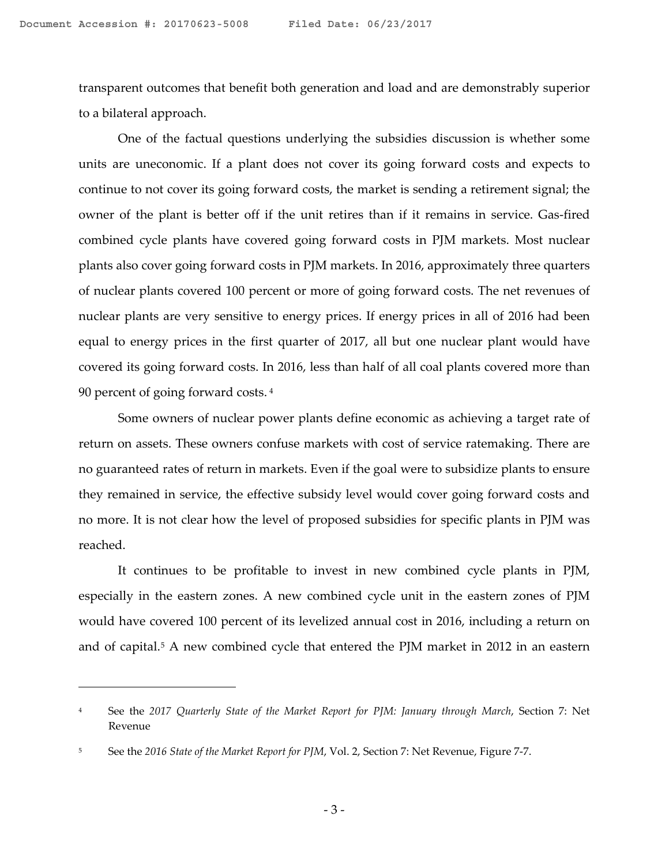transparent outcomes that benefit both generation and load and are demonstrably superior to a bilateral approach.

One of the factual questions underlying the subsidies discussion is whether some units are uneconomic. If a plant does not cover its going forward costs and expects to continue to not cover its going forward costs, the market is sending a retirement signal; the owner of the plant is better off if the unit retires than if it remains in service. Gas-fired combined cycle plants have covered going forward costs in PJM markets. Most nuclear plants also cover going forward costs in PJM markets. In 2016, approximately three quarters of nuclear plants covered 100 percent or more of going forward costs. The net revenues of nuclear plants are very sensitive to energy prices. If energy prices in all of 2016 had been equal to energy prices in the first quarter of 2017, all but one nuclear plant would have covered its going forward costs. In 2016, less than half of all coal plants covered more than 90 percent of going forward costs. [4](#page-2-0)

Some owners of nuclear power plants define economic as achieving a target rate of return on assets. These owners confuse markets with cost of service ratemaking. There are no guaranteed rates of return in markets. Even if the goal were to subsidize plants to ensure they remained in service, the effective subsidy level would cover going forward costs and no more. It is not clear how the level of proposed subsidies for specific plants in PJM was reached.

It continues to be profitable to invest in new combined cycle plants in PJM, especially in the eastern zones. A new combined cycle unit in the eastern zones of PJM would have covered 100 percent of its levelized annual cost in 2016, including a return on and of capital.<sup>[5](#page-2-1)</sup> A new combined cycle that entered the PJM market in 2012 in an eastern

<span id="page-2-0"></span><sup>4</sup> See the *2017 Quarterly State of the Market Report for PJM: January through March*, Section 7: Net Revenue

<span id="page-2-1"></span><sup>5</sup> See the *2016 State of the Market Report for PJM*, Vol. 2, Section 7: Net Revenue, Figure 7-7.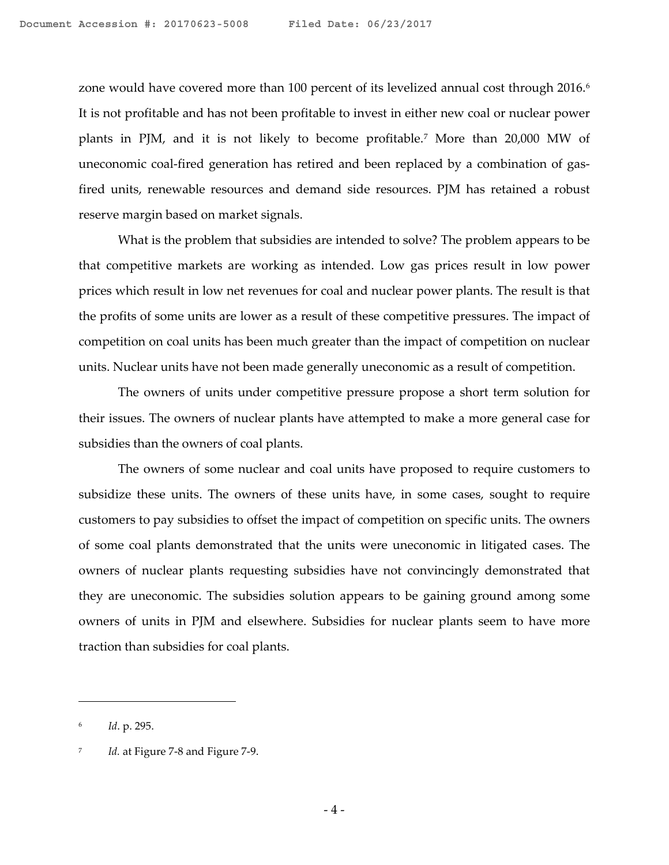zone would have covered more than 100 percent of its levelized annual cost through 201[6](#page-3-0).<sup>6</sup> It is not profitable and has not been profitable to invest in either new coal or nuclear power plants in PJM, and it is not likely to become profitable.[7](#page-3-1) More than 20,000 MW of uneconomic coal-fired generation has retired and been replaced by a combination of gasfired units, renewable resources and demand side resources. PJM has retained a robust reserve margin based on market signals.

What is the problem that subsidies are intended to solve? The problem appears to be that competitive markets are working as intended. Low gas prices result in low power prices which result in low net revenues for coal and nuclear power plants. The result is that the profits of some units are lower as a result of these competitive pressures. The impact of competition on coal units has been much greater than the impact of competition on nuclear units. Nuclear units have not been made generally uneconomic as a result of competition.

The owners of units under competitive pressure propose a short term solution for their issues. The owners of nuclear plants have attempted to make a more general case for subsidies than the owners of coal plants.

The owners of some nuclear and coal units have proposed to require customers to subsidize these units. The owners of these units have, in some cases, sought to require customers to pay subsidies to offset the impact of competition on specific units. The owners of some coal plants demonstrated that the units were uneconomic in litigated cases. The owners of nuclear plants requesting subsidies have not convincingly demonstrated that they are uneconomic. The subsidies solution appears to be gaining ground among some owners of units in PJM and elsewhere. Subsidies for nuclear plants seem to have more traction than subsidies for coal plants.

<span id="page-3-0"></span><sup>6</sup> *Id*. p. 295.

<span id="page-3-1"></span><sup>7</sup> *Id.* at Figure 7-8 and Figure 7-9.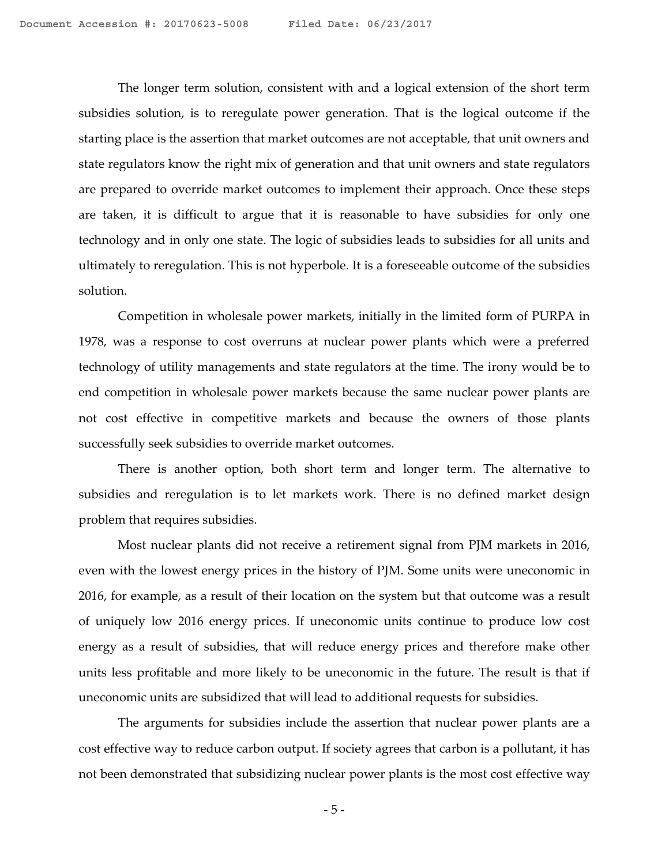The longer term solution, consistent with and a logical extension of the short term subsidies solution, is to reregulate power generation. That is the logical outcome if the starting place is the assertion that market outcomes are not acceptable, that unit owners and state regulators know the right mix of generation and that unit owners and state regulators are prepared to override market outcomes to implement their approach. Once these steps are taken, it is difficult to argue that it is reasonable to have subsidies for only one technology and in only one state. The logic of subsidies leads to subsidies for all units and ultimately to reregulation. This is not hyperbole. It is a foreseeable outcome of the subsidies solution.

Competition in wholesale power markets, initially in the limited form of PURPA in 1978, was a response to cost overruns at nuclear power plants which were a preferred technology of utility managements and state regulators at the time. The irony would be to end competition in wholesale power markets because the same nuclear power plants are not cost effective in competitive markets and because the owners of those plants successfully seek subsidies to override market outcomes.

There is another option, both short term and longer term. The alternative to subsidies and reregulation is to let markets work. There is no defined market design problem that requires subsidies.

Most nuclear plants did not receive a retirement signal from PJM markets in 2016, even with the lowest energy prices in the history of PJM. Some units were uneconomic in 2016, for example, as a result of their location on the system but that outcome was a result of uniquely low 2016 energy prices. If uneconomic units continue to produce low cost energy as a result of subsidies, that will reduce energy prices and therefore make other units less profitable and more likely to be uneconomic in the future. The result is that if uneconomic units are subsidized that will lead to additional requests for subsidies.

The arguments for subsidies include the assertion that nuclear power plants are a cost effective way to reduce carbon output. If society agrees that carbon is a pollutant, it has not been demonstrated that subsidizing nuclear power plants is the most cost effective way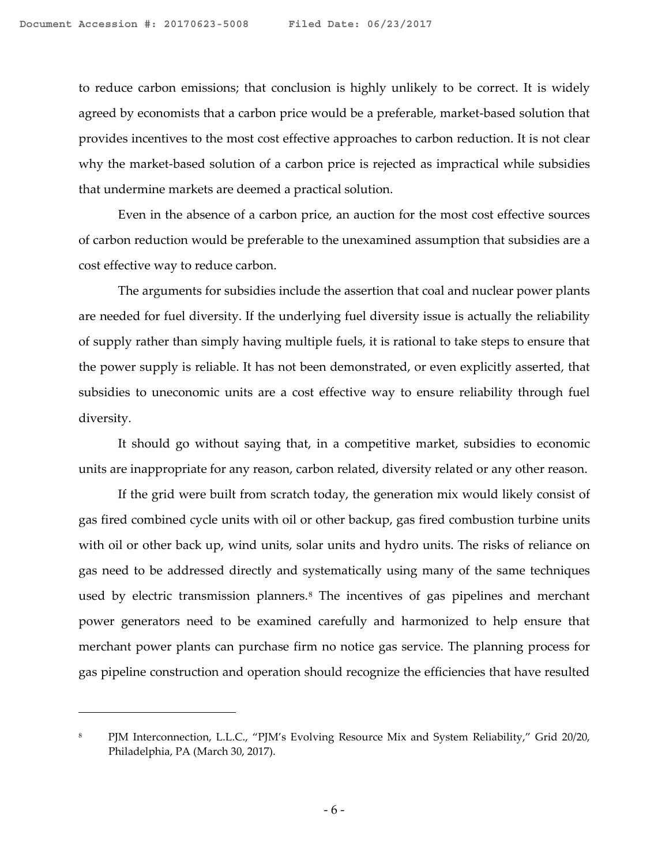to reduce carbon emissions; that conclusion is highly unlikely to be correct. It is widely agreed by economists that a carbon price would be a preferable, market-based solution that provides incentives to the most cost effective approaches to carbon reduction. It is not clear why the market-based solution of a carbon price is rejected as impractical while subsidies that undermine markets are deemed a practical solution.

Even in the absence of a carbon price, an auction for the most cost effective sources of carbon reduction would be preferable to the unexamined assumption that subsidies are a cost effective way to reduce carbon.

The arguments for subsidies include the assertion that coal and nuclear power plants are needed for fuel diversity. If the underlying fuel diversity issue is actually the reliability of supply rather than simply having multiple fuels, it is rational to take steps to ensure that the power supply is reliable. It has not been demonstrated, or even explicitly asserted, that subsidies to uneconomic units are a cost effective way to ensure reliability through fuel diversity.

It should go without saying that, in a competitive market, subsidies to economic units are inappropriate for any reason, carbon related, diversity related or any other reason.

If the grid were built from scratch today, the generation mix would likely consist of gas fired combined cycle units with oil or other backup, gas fired combustion turbine units with oil or other back up, wind units, solar units and hydro units. The risks of reliance on gas need to be addressed directly and systematically using many of the same techniques used by electric transmission planners.<sup>8</sup> The incentives of gas pipelines and merchant power generators need to be examined carefully and harmonized to help ensure that merchant power plants can purchase firm no notice gas service. The planning process for gas pipeline construction and operation should recognize the efficiencies that have resulted

<span id="page-5-0"></span><sup>8</sup> PJM Interconnection, L.L.C., "PJM's Evolving Resource Mix and System Reliability," Grid 20/20, Philadelphia, PA (March 30, 2017).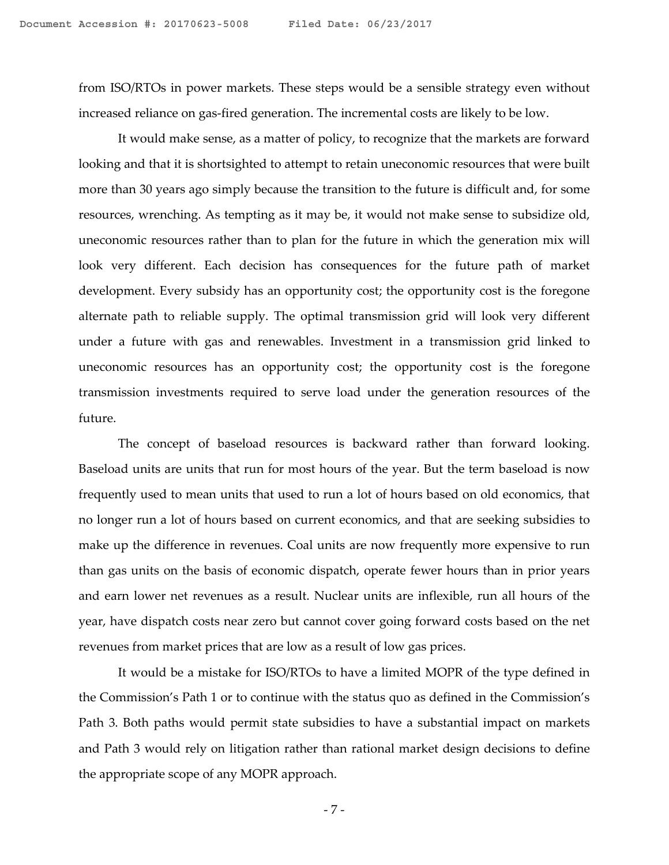from ISO/RTOs in power markets. These steps would be a sensible strategy even without increased reliance on gas-fired generation. The incremental costs are likely to be low.

It would make sense, as a matter of policy, to recognize that the markets are forward looking and that it is shortsighted to attempt to retain uneconomic resources that were built more than 30 years ago simply because the transition to the future is difficult and, for some resources, wrenching. As tempting as it may be, it would not make sense to subsidize old, uneconomic resources rather than to plan for the future in which the generation mix will look very different. Each decision has consequences for the future path of market development. Every subsidy has an opportunity cost; the opportunity cost is the foregone alternate path to reliable supply. The optimal transmission grid will look very different under a future with gas and renewables. Investment in a transmission grid linked to uneconomic resources has an opportunity cost; the opportunity cost is the foregone transmission investments required to serve load under the generation resources of the future.

The concept of baseload resources is backward rather than forward looking. Baseload units are units that run for most hours of the year. But the term baseload is now frequently used to mean units that used to run a lot of hours based on old economics, that no longer run a lot of hours based on current economics, and that are seeking subsidies to make up the difference in revenues. Coal units are now frequently more expensive to run than gas units on the basis of economic dispatch, operate fewer hours than in prior years and earn lower net revenues as a result. Nuclear units are inflexible, run all hours of the year, have dispatch costs near zero but cannot cover going forward costs based on the net revenues from market prices that are low as a result of low gas prices.

It would be a mistake for ISO/RTOs to have a limited MOPR of the type defined in the Commission's Path 1 or to continue with the status quo as defined in the Commission's Path 3. Both paths would permit state subsidies to have a substantial impact on markets and Path 3 would rely on litigation rather than rational market design decisions to define the appropriate scope of any MOPR approach.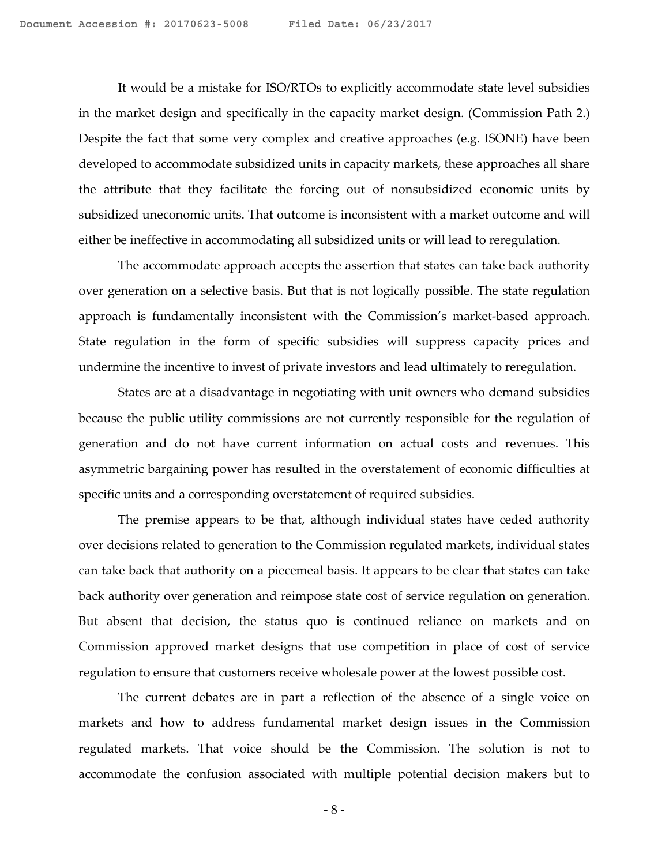It would be a mistake for ISO/RTOs to explicitly accommodate state level subsidies in the market design and specifically in the capacity market design. (Commission Path 2.) Despite the fact that some very complex and creative approaches (e.g. ISONE) have been developed to accommodate subsidized units in capacity markets, these approaches all share the attribute that they facilitate the forcing out of nonsubsidized economic units by subsidized uneconomic units. That outcome is inconsistent with a market outcome and will either be ineffective in accommodating all subsidized units or will lead to reregulation.

The accommodate approach accepts the assertion that states can take back authority over generation on a selective basis. But that is not logically possible. The state regulation approach is fundamentally inconsistent with the Commission's market-based approach. State regulation in the form of specific subsidies will suppress capacity prices and undermine the incentive to invest of private investors and lead ultimately to reregulation.

States are at a disadvantage in negotiating with unit owners who demand subsidies because the public utility commissions are not currently responsible for the regulation of generation and do not have current information on actual costs and revenues. This asymmetric bargaining power has resulted in the overstatement of economic difficulties at specific units and a corresponding overstatement of required subsidies.

The premise appears to be that, although individual states have ceded authority over decisions related to generation to the Commission regulated markets, individual states can take back that authority on a piecemeal basis. It appears to be clear that states can take back authority over generation and reimpose state cost of service regulation on generation. But absent that decision, the status quo is continued reliance on markets and on Commission approved market designs that use competition in place of cost of service regulation to ensure that customers receive wholesale power at the lowest possible cost.

The current debates are in part a reflection of the absence of a single voice on markets and how to address fundamental market design issues in the Commission regulated markets. That voice should be the Commission. The solution is not to accommodate the confusion associated with multiple potential decision makers but to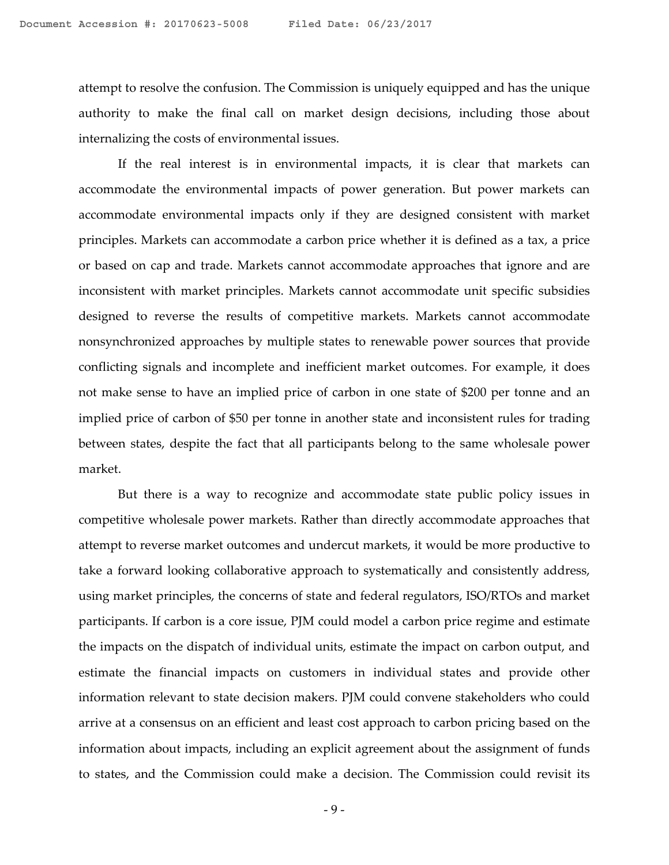attempt to resolve the confusion. The Commission is uniquely equipped and has the unique authority to make the final call on market design decisions, including those about internalizing the costs of environmental issues.

If the real interest is in environmental impacts, it is clear that markets can accommodate the environmental impacts of power generation. But power markets can accommodate environmental impacts only if they are designed consistent with market principles. Markets can accommodate a carbon price whether it is defined as a tax, a price or based on cap and trade. Markets cannot accommodate approaches that ignore and are inconsistent with market principles. Markets cannot accommodate unit specific subsidies designed to reverse the results of competitive markets. Markets cannot accommodate nonsynchronized approaches by multiple states to renewable power sources that provide conflicting signals and incomplete and inefficient market outcomes. For example, it does not make sense to have an implied price of carbon in one state of \$200 per tonne and an implied price of carbon of \$50 per tonne in another state and inconsistent rules for trading between states, despite the fact that all participants belong to the same wholesale power market.

But there is a way to recognize and accommodate state public policy issues in competitive wholesale power markets. Rather than directly accommodate approaches that attempt to reverse market outcomes and undercut markets, it would be more productive to take a forward looking collaborative approach to systematically and consistently address, using market principles, the concerns of state and federal regulators, ISO/RTOs and market participants. If carbon is a core issue, PJM could model a carbon price regime and estimate the impacts on the dispatch of individual units, estimate the impact on carbon output, and estimate the financial impacts on customers in individual states and provide other information relevant to state decision makers. PJM could convene stakeholders who could arrive at a consensus on an efficient and least cost approach to carbon pricing based on the information about impacts, including an explicit agreement about the assignment of funds to states, and the Commission could make a decision. The Commission could revisit its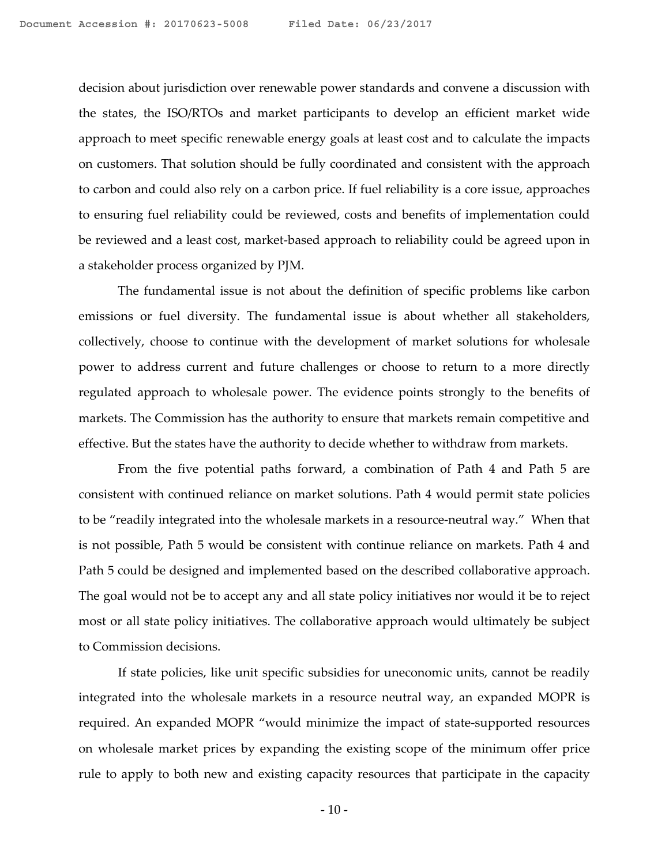decision about jurisdiction over renewable power standards and convene a discussion with the states, the ISO/RTOs and market participants to develop an efficient market wide approach to meet specific renewable energy goals at least cost and to calculate the impacts on customers. That solution should be fully coordinated and consistent with the approach to carbon and could also rely on a carbon price. If fuel reliability is a core issue, approaches to ensuring fuel reliability could be reviewed, costs and benefits of implementation could be reviewed and a least cost, market-based approach to reliability could be agreed upon in a stakeholder process organized by PJM.

The fundamental issue is not about the definition of specific problems like carbon emissions or fuel diversity. The fundamental issue is about whether all stakeholders, collectively, choose to continue with the development of market solutions for wholesale power to address current and future challenges or choose to return to a more directly regulated approach to wholesale power. The evidence points strongly to the benefits of markets. The Commission has the authority to ensure that markets remain competitive and effective. But the states have the authority to decide whether to withdraw from markets.

From the five potential paths forward, a combination of Path 4 and Path 5 are consistent with continued reliance on market solutions. Path 4 would permit state policies to be "readily integrated into the wholesale markets in a resource-neutral way." When that is not possible, Path 5 would be consistent with continue reliance on markets. Path 4 and Path 5 could be designed and implemented based on the described collaborative approach. The goal would not be to accept any and all state policy initiatives nor would it be to reject most or all state policy initiatives. The collaborative approach would ultimately be subject to Commission decisions.

If state policies, like unit specific subsidies for uneconomic units, cannot be readily integrated into the wholesale markets in a resource neutral way, an expanded MOPR is required. An expanded MOPR "would minimize the impact of state-supported resources on wholesale market prices by expanding the existing scope of the minimum offer price rule to apply to both new and existing capacity resources that participate in the capacity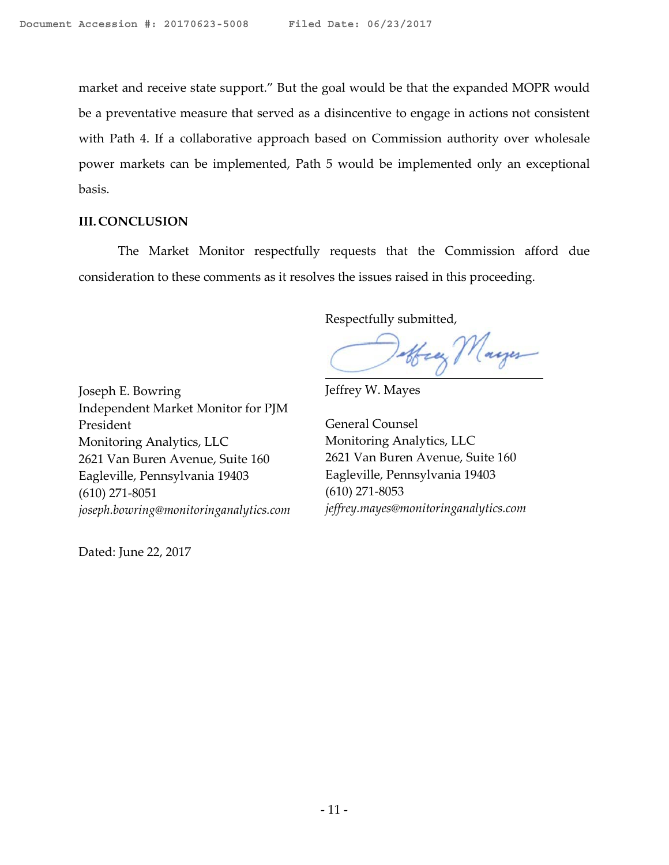market and receive state support." But the goal would be that the expanded MOPR would be a preventative measure that served as a disincentive to engage in actions not consistent with Path 4. If a collaborative approach based on Commission authority over wholesale power markets can be implemented, Path 5 would be implemented only an exceptional basis.

## **III. CONCLUSION**

The Market Monitor respectfully requests that the Commission afford due consideration to these comments as it resolves the issues raised in this proceeding.

Respectfully submitted,

offrey Mayer

Joseph E. Bowring Independent Market Monitor for PJM President Monitoring Analytics, LLC 2621 Van Buren Avenue, Suite 160 Eagleville, Pennsylvania 19403 (610) 271-8051 *joseph.bowring@monitoringanalytics.com*

Dated: June 22, 2017

Jeffrey W. Mayes

General Counsel Monitoring Analytics, LLC 2621 Van Buren Avenue, Suite 160 Eagleville, Pennsylvania 19403 (610) 271-8053 *jeffrey.mayes@monitoringanalytics.com*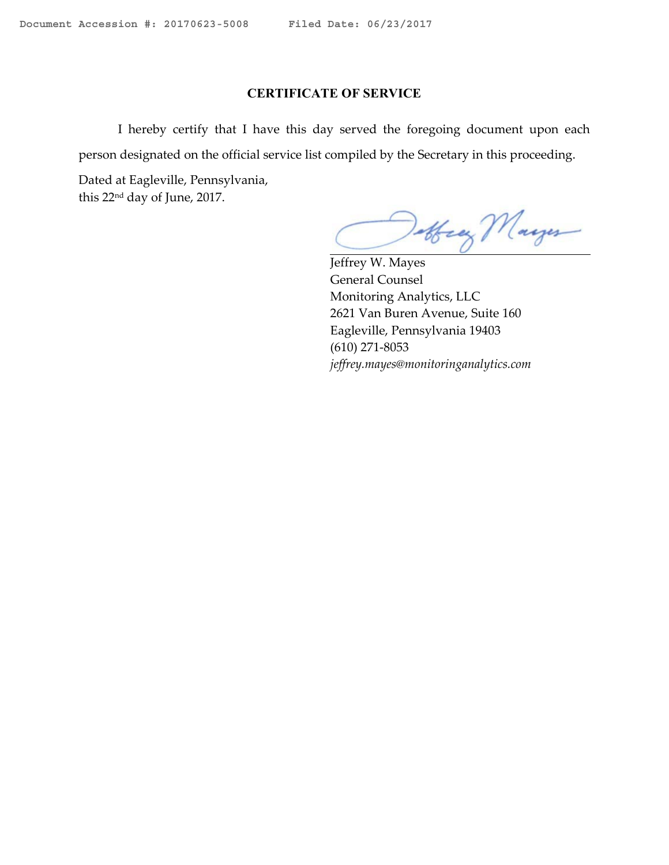## **CERTIFICATE OF SERVICE**

I hereby certify that I have this day served the foregoing document upon each person designated on the official service list compiled by the Secretary in this proceeding.

Dated at Eagleville, Pennsylvania, this 22nd day of June, 2017.

offrey Mayer

Jeffrey W. Mayes General Counsel Monitoring Analytics, LLC 2621 Van Buren Avenue, Suite 160 Eagleville, Pennsylvania 19403 (610) 271-8053 *jeffrey.mayes@monitoringanalytics.com*